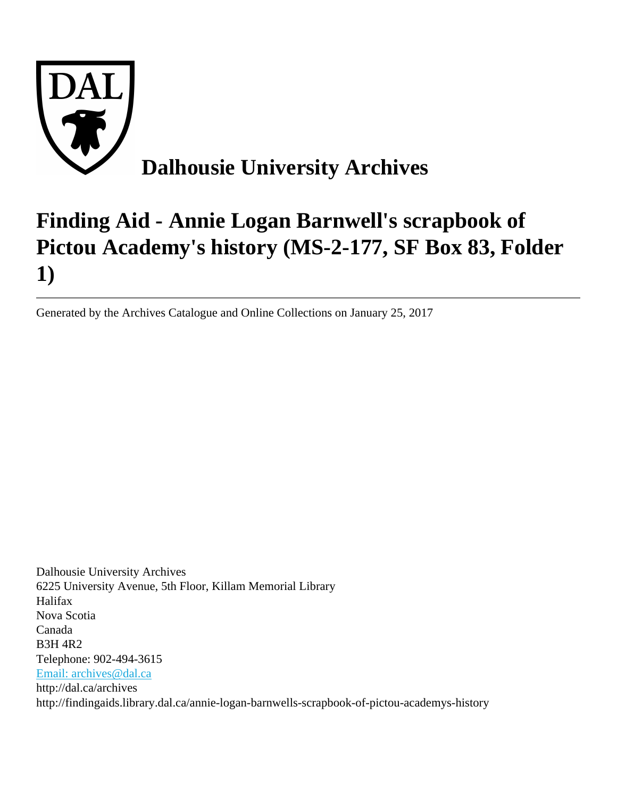

# **Finding Aid - Annie Logan Barnwell's scrapbook of Pictou Academy's history (MS-2-177, SF Box 83, Folder 1)**

Generated by the Archives Catalogue and Online Collections on January 25, 2017

Dalhousie University Archives 6225 University Avenue, 5th Floor, Killam Memorial Library Halifax Nova Scotia Canada B3H 4R2 Telephone: 902-494-3615 [Email: archives@dal.ca](mailto:Email: archives@dal.ca) http://dal.ca/archives http://findingaids.library.dal.ca/annie-logan-barnwells-scrapbook-of-pictou-academys-history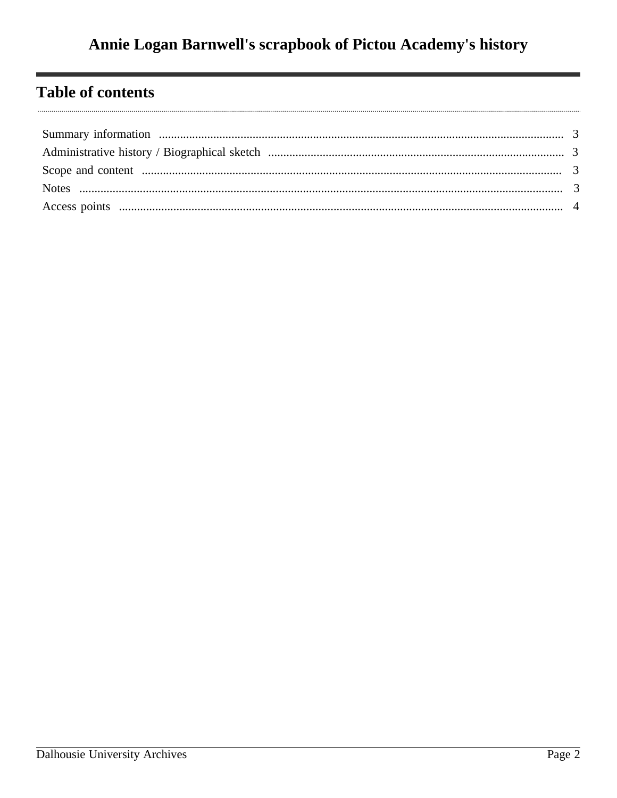# **Table of contents**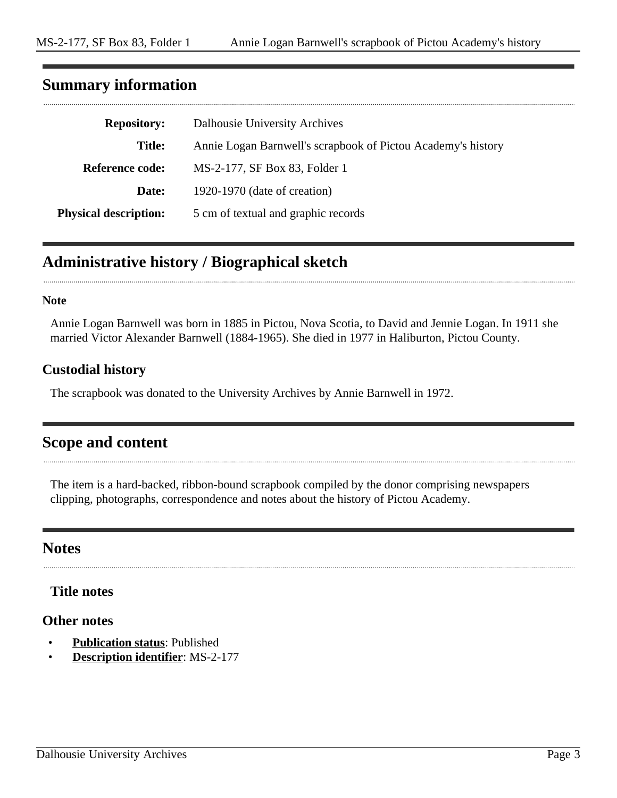## <span id="page-2-0"></span>**Summary information**

| <b>Repository:</b>           | Dalhousie University Archives                                |
|------------------------------|--------------------------------------------------------------|
| <b>Title:</b>                | Annie Logan Barnwell's scrapbook of Pictou Academy's history |
| Reference code:              | MS-2-177, SF Box 83, Folder 1                                |
| Date:                        | 1920-1970 (date of creation)                                 |
| <b>Physical description:</b> | 5 cm of textual and graphic records                          |

## <span id="page-2-1"></span>**Administrative history / Biographical sketch**

#### **Note**

Annie Logan Barnwell was born in 1885 in Pictou, Nova Scotia, to David and Jennie Logan. In 1911 she married Victor Alexander Barnwell (1884-1965). She died in 1977 in Haliburton, Pictou County.

#### **Custodial history**

The scrapbook was donated to the University Archives by Annie Barnwell in 1972.

## <span id="page-2-2"></span>**Scope and content**

The item is a hard-backed, ribbon-bound scrapbook compiled by the donor comprising newspapers clipping, photographs, correspondence and notes about the history of Pictou Academy.

## <span id="page-2-3"></span>**Notes**

#### **Title notes**

#### **Other notes**

- **Publication status**: Published
- **Description identifier**: MS-2-177